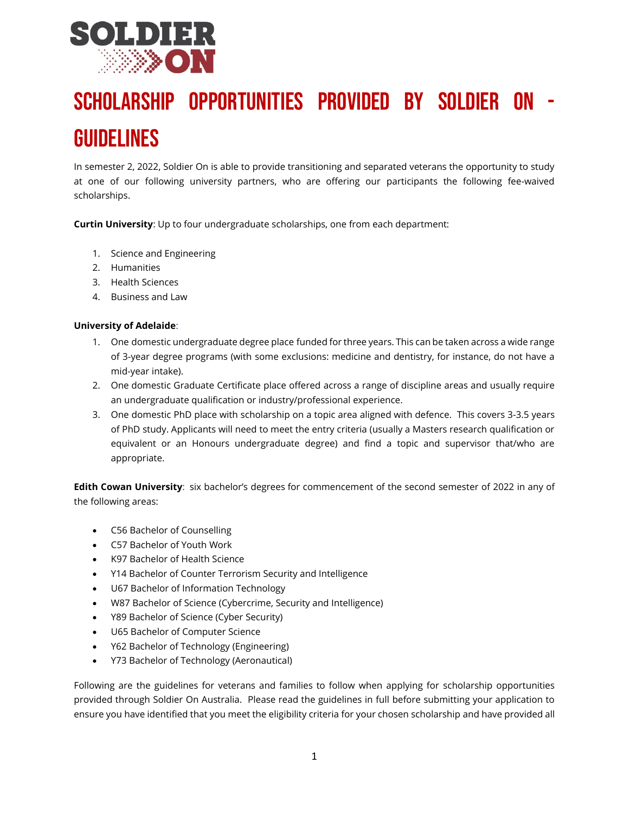

# <span id="page-0-0"></span>Scholarship Opportunities Provided by Soldier On - Guidelines

In semester 2, 2022, Soldier On is able to provide transitioning and separated veterans the opportunity to study at one of our following university partners, who are offering our participants the following fee-waived scholarships.

<span id="page-0-1"></span>**Curtin University**: Up to four undergraduate scholarships, one from each department:

- 1. Science and Engineering
- 2. Humanities
- 3. Health Sciences
- 4. Business and Law

#### <span id="page-0-2"></span>**University of Adelaide**:

- 1. One domestic undergraduate degree place funded for three years. This can be taken across a wide range of 3-year degree programs (with some exclusions: medicine and dentistry, for instance, do not have a mid-year intake).
- 2. One domestic Graduate Certificate place offered across a range of discipline areas and usually require an undergraduate qualification or industry/professional experience.
- 3. One domestic PhD place with scholarship on a topic area aligned with defence. This covers 3-3.5 years of PhD study. Applicants will need to meet the entry criteria (usually a Masters research qualification or equivalent or an Honours undergraduate degree) and find a topic and supervisor that/who are appropriate.

<span id="page-0-3"></span>**Edith Cowan University**: six bachelor's degrees for commencement of the second semester of 2022 in any of the following areas:

- C56 Bachelor of Counselling
- C57 Bachelor of Youth Work
- K97 Bachelor of Health Science
- Y14 Bachelor of Counter Terrorism Security and Intelligence
- U67 Bachelor of Information Technology
- W87 Bachelor of Science (Cybercrime, Security and Intelligence)
- Y89 Bachelor of Science (Cyber Security)
- U65 Bachelor of Computer Science
- Y62 Bachelor of Technology (Engineering)
- Y73 Bachelor of Technology (Aeronautical)

Following are the guidelines for veterans and families to follow when applying for scholarship opportunities provided through Soldier On Australia. Please read the guidelines in full before submitting your application to ensure you have identified that you meet the eligibility criteria for your chosen scholarship and have provided all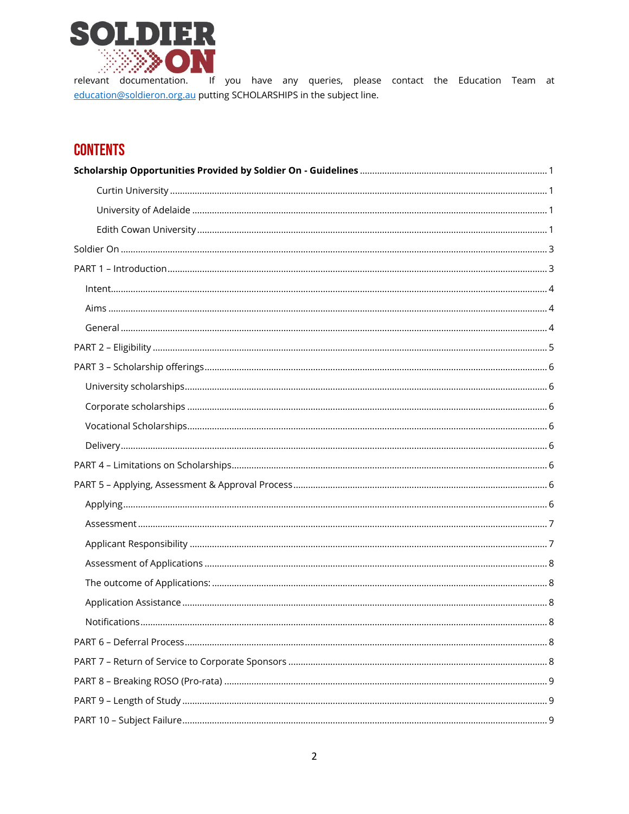

relevant documentation. If you have any queries, please contact the Education Team at education@soldieron.org.au putting SCHOLARSHIPS in the subject line.

# **CONTENTS**

| Notifications. | 8 |
|----------------|---|
|                |   |
|                |   |
|                |   |
|                |   |
|                |   |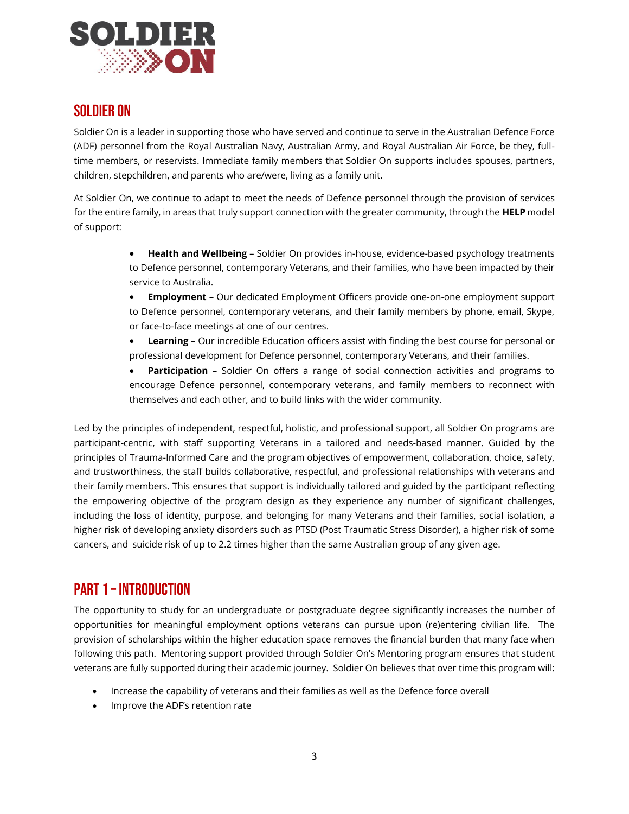

## <span id="page-2-0"></span>Soldier On

Soldier On is a leader in supporting those who have served and continue to serve in the Australian Defence Force (ADF) personnel from the Royal Australian Navy, Australian Army, and Royal Australian Air Force, be they, fulltime members, or reservists. Immediate family members that Soldier On supports includes spouses, partners, children, stepchildren, and parents who are/were, living as a family unit.

At Soldier On, we continue to adapt to meet the needs of Defence personnel through the provision of services for the entire family, in areas that truly support connection with the greater community, through the **HELP** model of support:

- **Health and Wellbeing** Soldier On provides in-house, evidence-based psychology treatments to Defence personnel, contemporary Veterans, and their families, who have been impacted by their service to Australia.
- **Employment**  Our dedicated Employment Officers provide one-on-one employment support to Defence personnel, contemporary veterans, and their family members by phone, email, Skype, or face-to-face meetings at one of our centres.
- **Learning**  Our incredible Education officers assist with finding the best course for personal or professional development for Defence personnel, contemporary Veterans, and their families.
- **Participation** Soldier On offers a range of social connection activities and programs to encourage Defence personnel, contemporary veterans, and family members to reconnect with themselves and each other, and to build links with the wider community.

Led by the principles of independent, respectful, holistic, and professional support, all Soldier On programs are participant-centric, with staff supporting Veterans in a tailored and needs-based manner. Guided by the principles of Trauma-Informed Care and the program objectives of empowerment, collaboration, choice, safety, and trustworthiness, the staff builds collaborative, respectful, and professional relationships with veterans and their family members. This ensures that support is individually tailored and guided by the participant reflecting the empowering objective of the program design as they experience any number of significant challenges, including the loss of identity, purpose, and belonging for many Veterans and their families, social isolation, a higher risk of developing anxiety disorders such as PTSD (Post Traumatic Stress Disorder), a higher risk of some cancers, and suicide risk of up to 2.2 times higher than the same Australian group of any given age.

# <span id="page-2-1"></span>PART 1 – Introduction

The opportunity to study for an undergraduate or postgraduate degree significantly increases the number of opportunities for meaningful employment options veterans can pursue upon (re)entering civilian life. The provision of scholarships within the higher education space removes the financial burden that many face when following this path. Mentoring support provided through Soldier On's Mentoring program ensures that student veterans are fully supported during their academic journey. Soldier On believes that over time this program will:

- Increase the capability of veterans and their families as well as the Defence force overall
- Improve the ADF's retention rate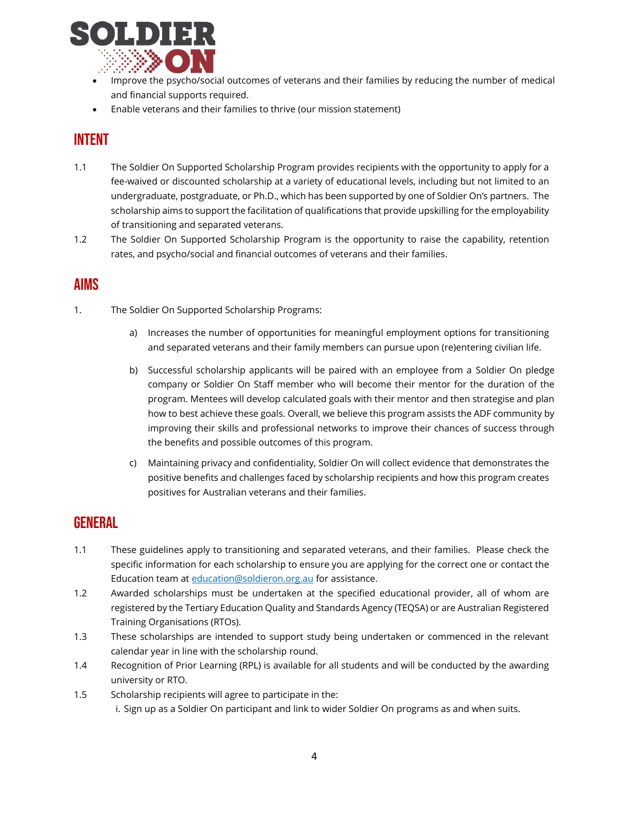

- Improve the psycho/social outcomes of veterans and their families by reducing the number of medical and financial supports required.
- Enable veterans and their families to thrive (our mission statement)

# <span id="page-3-0"></span>Intent

- 1.1 The Soldier On Supported Scholarship Program provides recipients with the opportunity to apply for a fee-waived or discounted scholarship at a variety of educational levels, including but not limited to an undergraduate, postgraduate, or Ph.D., which has been supported by one of Soldier On's partners. The scholarship aims to support the facilitation of qualifications that provide upskilling for the employability of transitioning and separated veterans.
- 1.2 The Soldier On Supported Scholarship Program is the opportunity to raise the capability, retention rates, and psycho/social and financial outcomes of veterans and their families.

## <span id="page-3-1"></span>Aims

- 1. The Soldier On Supported Scholarship Programs:
	- a) Increases the number of opportunities for meaningful employment options for transitioning and separated veterans and their family members can pursue upon (re)entering civilian life.
	- b) Successful scholarship applicants will be paired with an employee from a Soldier On pledge company or Soldier On Staff member who will become their mentor for the duration of the program. Mentees will develop calculated goals with their mentor and then strategise and plan how to best achieve these goals. Overall, we believe this program assists the ADF community by improving their skills and professional networks to improve their chances of success through the benefits and possible outcomes of this program.
	- c) Maintaining privacy and confidentiality, Soldier On will collect evidence that demonstrates the positive benefits and challenges faced by scholarship recipients and how this program creates positives for Australian veterans and their families.

## <span id="page-3-2"></span>**GENERAL**

- 1.1 These guidelines apply to transitioning and separated veterans, and their families. Please check the specific information for each scholarship to ensure you are applying for the correct one or contact the Education team at [education@soldieron.org.au](mailto:education@soldieron.org.au) for assistance.
- 1.2 Awarded scholarships must be undertaken at the specified educational provider, all of whom are registered by the Tertiary Education Quality and Standards Agency (TEQSA) or are Australian Registered Training Organisations (RTOs).
- 1.3 These scholarships are intended to support study being undertaken or commenced in the relevant calendar year in line with the scholarship round.
- 1.4 Recognition of Prior Learning (RPL) is available for all students and will be conducted by the awarding university or RTO.
- 1.5 Scholarship recipients will agree to participate in the: i. Sign up as a Soldier On participant and link to wider Soldier On programs as and when suits.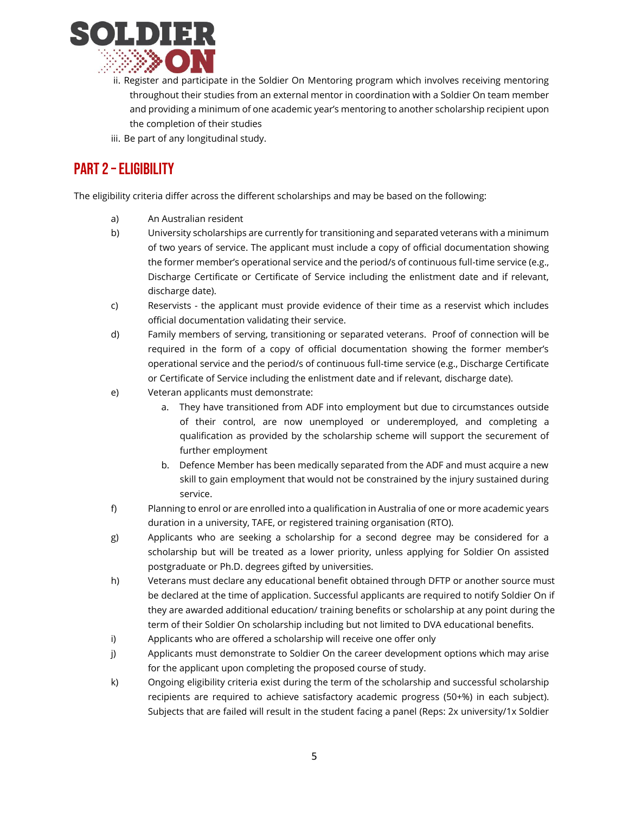

- ii. Register and participate in the Soldier On Mentoring program which involves receiving mentoring throughout their studies from an external mentor in coordination with a Soldier On team member and providing a minimum of one academic year's mentoring to another scholarship recipient upon the completion of their studies
- iii. Be part of any longitudinal study.

# <span id="page-4-0"></span>PART 2 - ELIGIBILITY

The eligibility criteria differ across the different scholarships and may be based on the following:

- a) An Australian resident
- b) University scholarships are currently for transitioning and separated veterans with a minimum of two years of service. The applicant must include a copy of official documentation showing the former member's operational service and the period/s of continuous full-time service (e.g., Discharge Certificate or Certificate of Service including the enlistment date and if relevant, discharge date).
- c) Reservists the applicant must provide evidence of their time as a reservist which includes official documentation validating their service.
- d) Family members of serving, transitioning or separated veterans. Proof of connection will be required in the form of a copy of official documentation showing the former member's operational service and the period/s of continuous full-time service (e.g., Discharge Certificate or Certificate of Service including the enlistment date and if relevant, discharge date).
- e) Veteran applicants must demonstrate:
	- a. They have transitioned from ADF into employment but due to circumstances outside of their control, are now unemployed or underemployed, and completing a qualification as provided by the scholarship scheme will support the securement of further employment
	- b. Defence Member has been medically separated from the ADF and must acquire a new skill to gain employment that would not be constrained by the injury sustained during service.
- f) Planning to enrol or are enrolled into a qualification in Australia of one or more academic years duration in a university, TAFE, or registered training organisation (RTO).
- g) Applicants who are seeking a scholarship for a second degree may be considered for a scholarship but will be treated as a lower priority, unless applying for Soldier On assisted postgraduate or Ph.D. degrees gifted by universities.
- h) Veterans must declare any educational benefit obtained through DFTP or another source must be declared at the time of application. Successful applicants are required to notify Soldier On if they are awarded additional education/ training benefits or scholarship at any point during the term of their Soldier On scholarship including but not limited to DVA educational benefits.
- i) Applicants who are offered a scholarship will receive one offer only
- j) Applicants must demonstrate to Soldier On the career development options which may arise for the applicant upon completing the proposed course of study.
- k) Ongoing eligibility criteria exist during the term of the scholarship and successful scholarship recipients are required to achieve satisfactory academic progress (50+%) in each subject). Subjects that are failed will result in the student facing a panel (Reps: 2x university/1x Soldier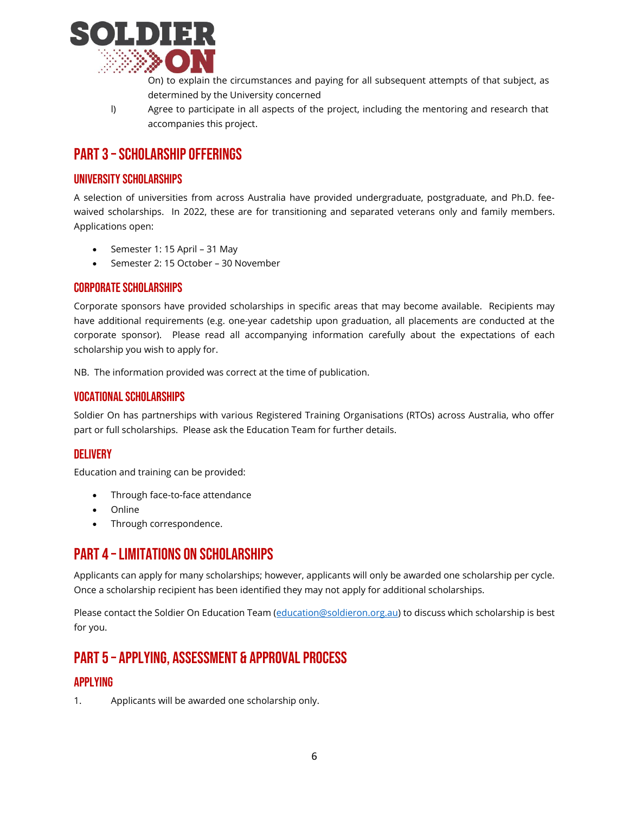

On) to explain the circumstances and paying for all subsequent attempts of that subject, as determined by the University concerned

l) Agree to participate in all aspects of the project, including the mentoring and research that accompanies this project.

## <span id="page-5-0"></span>PART 3 – SCHOLARSHIP OFFERINGS

## <span id="page-5-1"></span>University scholarships

A selection of universities from across Australia have provided undergraduate, postgraduate, and Ph.D. feewaived scholarships. In 2022, these are for transitioning and separated veterans only and family members. Applications open:

- Semester 1: 15 April 31 May
- Semester 2: 15 October 30 November

#### <span id="page-5-2"></span>Corporate scholarships

Corporate sponsors have provided scholarships in specific areas that may become available. Recipients may have additional requirements (e.g. one-year cadetship upon graduation, all placements are conducted at the corporate sponsor). Please read all accompanying information carefully about the expectations of each scholarship you wish to apply for.

NB. The information provided was correct at the time of publication.

#### <span id="page-5-3"></span>Vocational Scholarships

Soldier On has partnerships with various Registered Training Organisations (RTOs) across Australia, who offer part or full scholarships. Please ask the Education Team for further details.

## <span id="page-5-4"></span>**DELIVERY**

Education and training can be provided:

- Through face-to-face attendance
- Online
- Through correspondence.

## <span id="page-5-5"></span>PART 4 –Limitations on Scholarships

Applicants can apply for many scholarships; however, applicants will only be awarded one scholarship per cycle. Once a scholarship recipient has been identified they may not apply for additional scholarships.

Please contact the Soldier On Education Team [\(education@soldieron.org.au\)](mailto:education@soldieron.org.au) to discuss which scholarship is best for you.

# <span id="page-5-6"></span>PART 5 – Applying, Assessment & Approval Process

## <span id="page-5-7"></span>Applying

1. Applicants will be awarded one scholarship only.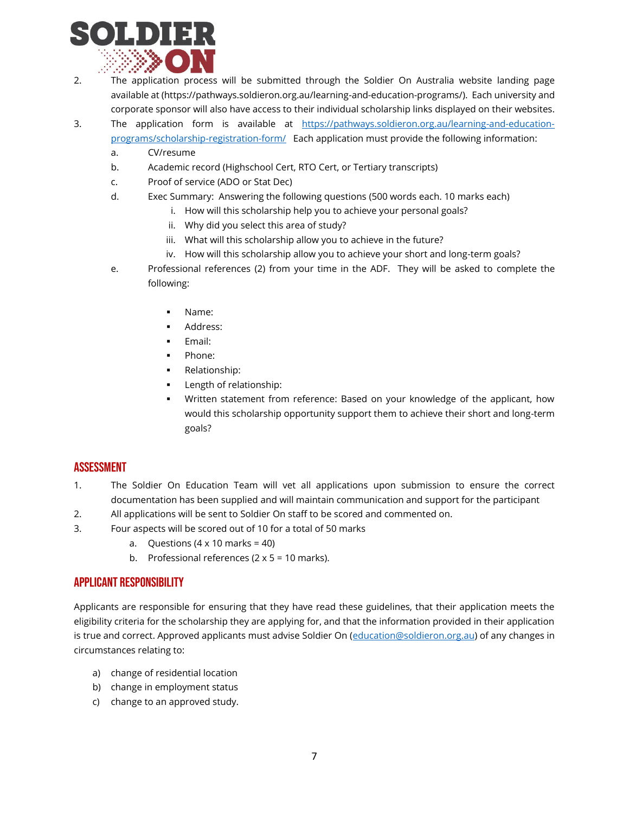

- 2. The application process will be submitted through the Soldier On Australia website landing page available at (https://pathways.soldieron.org.au/learning-and-education-programs/). Each university and corporate sponsor will also have access to their individual scholarship links displayed on their websites.
- 3. The application form is available at [https://pathways.soldieron.org.au/learning-and-education](https://pathways.soldieron.org.au/learning-and-education-programs/scholarship-registration-form/)[programs/scholarship-registration-form/](https://pathways.soldieron.org.au/learning-and-education-programs/scholarship-registration-form/) Each application must provide the following information:
	- a. CV/resume
	- b. Academic record (Highschool Cert, RTO Cert, or Tertiary transcripts)
	- c. Proof of service (ADO or Stat Dec)
	- d. Exec Summary: Answering the following questions (500 words each. 10 marks each)
		- i. How will this scholarship help you to achieve your personal goals?
		- ii. Why did you select this area of study?
		- iii. What will this scholarship allow you to achieve in the future?
		- iv. How will this scholarship allow you to achieve your short and long-term goals?
	- e. Professional references (2) from your time in the ADF. They will be asked to complete the following:
		- Name:
		- Address:
		- Email:
		- Phone:
		- Relationship:
		- Length of relationship:
		- Written statement from reference: Based on your knowledge of the applicant, how would this scholarship opportunity support them to achieve their short and long-term goals?

## <span id="page-6-0"></span>Assessment

- 1. The Soldier On Education Team will vet all applications upon submission to ensure the correct documentation has been supplied and will maintain communication and support for the participant
- 2. All applications will be sent to Soldier On staff to be scored and commented on.
- 3. Four aspects will be scored out of 10 for a total of 50 marks
	- a. Questions  $(4 \times 10 \text{ marks} = 40)$
	- b. Professional references  $(2 \times 5 = 10 \text{ marks})$ .

## <span id="page-6-1"></span>Applicant Responsibility

Applicants are responsible for ensuring that they have read these guidelines, that their application meets the eligibility criteria for the scholarship they are applying for, and that the information provided in their application is true and correct. Approved applicants must advise Soldier On [\(education@soldieron.org.au\)](mailto:education@soldieron.org.au) of any changes in circumstances relating to:

- a) change of residential location
- b) change in employment status
- c) change to an approved study.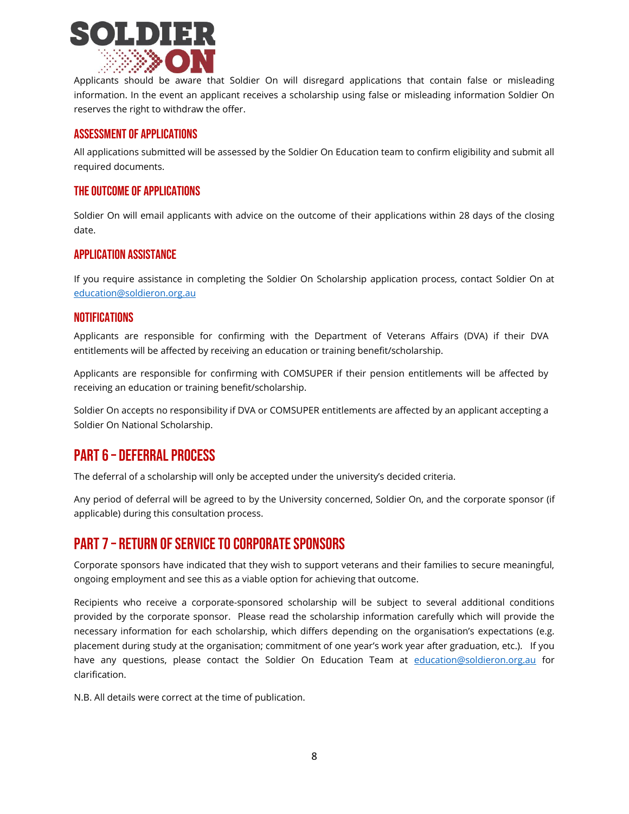

Applicants should be aware that Soldier On will disregard applications that contain false or misleading information. In the event an applicant receives a scholarship using false or misleading information Soldier On reserves the right to withdraw the offer.

## <span id="page-7-0"></span>Assessment of Applications

All applications submitted will be assessed by the Soldier On Education team to confirm eligibility and submit all required documents.

#### <span id="page-7-1"></span>The outcome of Applications

Soldier On will email applicants with advice on the outcome of their applications within 28 days of the closing date.

#### <span id="page-7-2"></span>Application Assistance

If you require assistance in completing the Soldier On Scholarship application process, contact Soldier On at [education@soldieron.org.au](mailto:education@soldieron.org.au)

#### <span id="page-7-3"></span>**NOTIFICATIONS**

Applicants are responsible for confirming with the Department of Veterans Affairs (DVA) if their DVA entitlements will be affected by receiving an education or training benefit/scholarship.

Applicants are responsible for confirming with COMSUPER if their pension entitlements will be affected by receiving an education or training benefit/scholarship.

Soldier On accepts no responsibility if DVA or COMSUPER entitlements are affected by an applicant accepting a Soldier On National Scholarship.

## <span id="page-7-4"></span>PART 6 – Deferral Process

The deferral of a scholarship will only be accepted under the university's decided criteria.

Any period of deferral will be agreed to by the University concerned, Soldier On, and the corporate sponsor (if applicable) during this consultation process.

## <span id="page-7-5"></span>PART 7 – RETURN OF SERVICE TO CORPORATE SPONSORS

Corporate sponsors have indicated that they wish to support veterans and their families to secure meaningful, ongoing employment and see this as a viable option for achieving that outcome.

Recipients who receive a corporate-sponsored scholarship will be subject to several additional conditions provided by the corporate sponsor. Please read the scholarship information carefully which will provide the necessary information for each scholarship, which differs depending on the organisation's expectations (e.g. placement during study at the organisation; commitment of one year's work year after graduation, etc.). If you have any questions, please contact the Soldier On Education Team at [education@soldieron.org.au](mailto:education@soldieron.org.au) for clarification.

N.B. All details were correct at the time of publication.